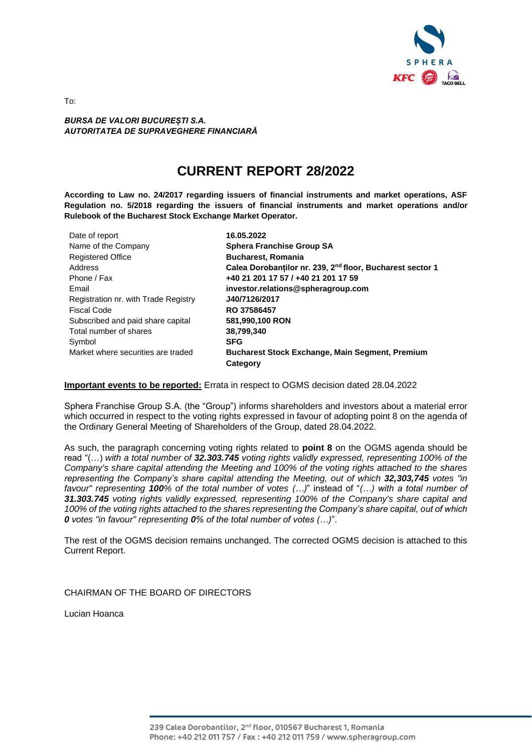

*BURSA DE VALORI BUCUREȘTI S.A. AUTORITATEA DE SUPRAVEGHERE FINANCIARĂ* 

# **CURRENT REPORT 28/2022**

**According to Law no. 24/2017 regarding issuers of financial instruments and market operations, ASF Regulation no. 5/2018 regarding the issuers of financial instruments and market operations and/or Rulebook of the Bucharest Stock Exchange Market Operator.**

| Date of report                       | 16.05.2022                                                            |
|--------------------------------------|-----------------------------------------------------------------------|
| Name of the Company                  | <b>Sphera Franchise Group SA</b>                                      |
| <b>Registered Office</b>             | <b>Bucharest, Romania</b>                                             |
| Address                              | Calea Dorobanților nr. 239, 2 <sup>nd</sup> floor, Bucharest sector 1 |
| Phone / Fax                          | +40 21 201 17 57 / +40 21 201 17 59                                   |
| Email                                | investor.relations@spheragroup.com                                    |
| Registration nr. with Trade Registry | J40/7126/2017                                                         |
| Fiscal Code                          | RO 37586457                                                           |
| Subscribed and paid share capital    | 581,990,100 RON                                                       |
| Total number of shares               | 38.799.340                                                            |
| Symbol                               | <b>SFG</b>                                                            |
| Market where securities are traded   | <b>Bucharest Stock Exchange, Main Segment, Premium</b>                |
|                                      | Category                                                              |

#### **Important events to be reported:** Errata in respect to OGMS decision dated 28.04.2022

Sphera Franchise Group S.A. (the "Group") informs shareholders and investors about a material error which occurred in respect to the voting rights expressed in favour of adopting point 8 on the agenda of the Ordinary General Meeting of Shareholders of the Group, dated 28.04.2022.

As such, the paragraph concerning voting rights related to **point 8** on the OGMS agenda should be read "(…) *with a total number of 32.303.745 voting rights validly expressed, representing 100% of the Company's share capital attending the Meeting and 100% of the voting rights attached to the shares representing the Company's share capital attending the Meeting, out of which 32,303,745 votes "in favour" representing 100% of the total number of votes (…)*" instead of "*(…) with a total number of 31.303.745 voting rights validly expressed, representing 100% of the Company's share capital and 100% of the voting rights attached to the shares representing the Company's share capital, out of which 0 votes "in favour" representing 0% of the total number of votes (…)*".

The rest of the OGMS decision remains unchanged. The corrected OGMS decision is attached to this Current Report.

CHAIRMAN OF THE BOARD OF DIRECTORS

Lucian Hoanca

To: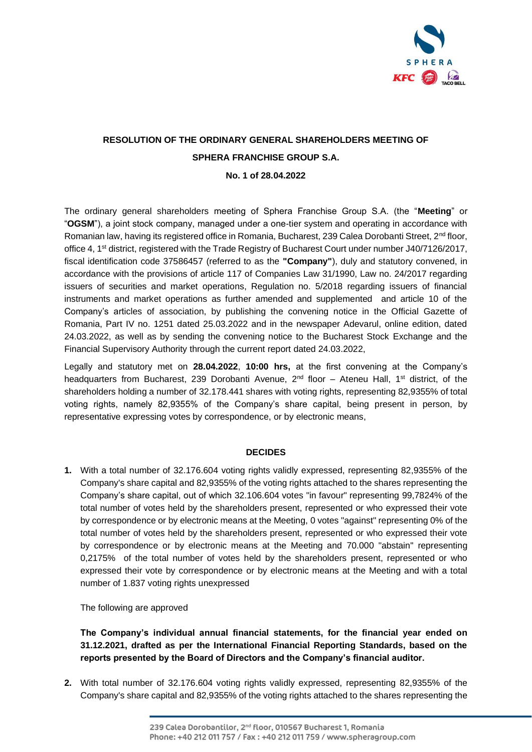

# **RESOLUTION OF THE ORDINARY GENERAL SHAREHOLDERS MEETING OF SPHERA FRANCHISE GROUP S.A.**

# **No. 1 of 28.04.2022**

The ordinary general shareholders meeting of Sphera Franchise Group S.A. (the "**Meeting**" or "**OGSM**"), a joint stock company, managed under a one-tier system and operating in accordance with Romanian law, having its registered office in Romania, Bucharest, 239 Calea Dorobanti Street, 2<sup>nd</sup> floor, office 4, 1<sup>st</sup> district, registered with the Trade Registry of Bucharest Court under number J40/7126/2017, fiscal identification code 37586457 (referred to as the **"Company"**), duly and statutory convened, in accordance with the provisions of article 117 of Companies Law 31/1990, Law no. 24/2017 regarding issuers of securities and market operations, Regulation no. 5/2018 regarding issuers of financial instruments and market operations as further amended and supplemented and article 10 of the Company's articles of association, by publishing the convening notice in the Official Gazette of Romania, Part IV no. 1251 dated 25.03.2022 and in the newspaper Adevarul, online edition, dated 24.03.2022, as well as by sending the convening notice to the Bucharest Stock Exchange and the Financial Supervisory Authority through the current report dated 24.03.2022,

Legally and statutory met on **28.04.2022**, **10:00 hrs,** at the first convening at the Company's headquarters from Bucharest, 239 Dorobanti Avenue, 2<sup>nd</sup> floor – Ateneu Hall, 1<sup>st</sup> district, of the shareholders holding a number of 32.178.441 shares with voting rights, representing 82,9355% of total voting rights, namely 82,9355% of the Company's share capital, being present in person, by representative expressing votes by correspondence, or by electronic means,

# **DECIDES**

**1.** With a total number of 32.176.604 voting rights validly expressed, representing 82,9355% of the Company's share capital and 82,9355% of the voting rights attached to the shares representing the Company's share capital, out of which 32.106.604 votes "in favour" representing 99,7824% of the total number of votes held by the shareholders present, represented or who expressed their vote by correspondence or by electronic means at the Meeting, 0 votes "against" representing 0% of the total number of votes held by the shareholders present, represented or who expressed their vote by correspondence or by electronic means at the Meeting and 70.000 "abstain" representing 0,2175% of the total number of votes held by the shareholders present, represented or who expressed their vote by correspondence or by electronic means at the Meeting and with a total number of 1.837 voting rights unexpressed

The following are approved

**The Company's individual annual financial statements, for the financial year ended on 31.12.2021, drafted as per the International Financial Reporting Standards, based on the reports presented by the Board of Directors and the Company's financial auditor.**

**2.** With total number of 32.176.604 voting rights validly expressed, representing 82,9355% of the Company's share capital and 82,9355% of the voting rights attached to the shares representing the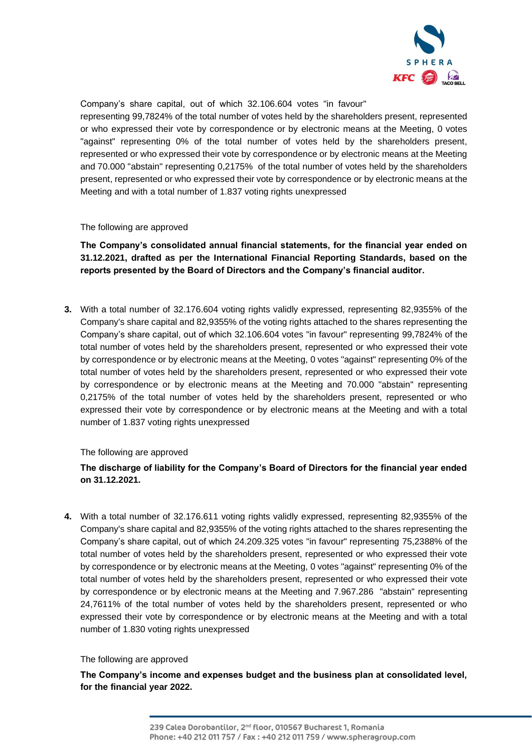

Company's share capital, out of which 32.106.604 votes "in favour"

representing 99,7824% of the total number of votes held by the shareholders present, represented or who expressed their vote by correspondence or by electronic means at the Meeting, 0 votes "against" representing 0% of the total number of votes held by the shareholders present, represented or who expressed their vote by correspondence or by electronic means at the Meeting and 70.000 "abstain" representing 0,2175% of the total number of votes held by the shareholders present, represented or who expressed their vote by correspondence or by electronic means at the Meeting and with a total number of 1.837 voting rights unexpressed

The following are approved

**The Company's consolidated annual financial statements, for the financial year ended on 31.12.2021, drafted as per the International Financial Reporting Standards, based on the reports presented by the Board of Directors and the Company's financial auditor.** 

**3.** With a total number of 32.176.604 voting rights validly expressed, representing 82,9355% of the Company's share capital and 82,9355% of the voting rights attached to the shares representing the Company's share capital, out of which 32.106.604 votes "in favour" representing 99,7824% of the total number of votes held by the shareholders present, represented or who expressed their vote by correspondence or by electronic means at the Meeting, 0 votes "against" representing 0% of the total number of votes held by the shareholders present, represented or who expressed their vote by correspondence or by electronic means at the Meeting and 70.000 "abstain" representing 0,2175% of the total number of votes held by the shareholders present, represented or who expressed their vote by correspondence or by electronic means at the Meeting and with a total number of 1.837 voting rights unexpressed

# The following are approved

# **The discharge of liability for the Company's Board of Directors for the financial year ended on 31.12.2021.**

**4.** With a total number of 32.176.611 voting rights validly expressed, representing 82,9355% of the Company's share capital and 82,9355% of the voting rights attached to the shares representing the Company's share capital, out of which 24.209.325 votes "in favour" representing 75,2388% of the total number of votes held by the shareholders present, represented or who expressed their vote by correspondence or by electronic means at the Meeting, 0 votes "against" representing 0% of the total number of votes held by the shareholders present, represented or who expressed their vote by correspondence or by electronic means at the Meeting and 7.967.286 "abstain" representing 24,7611% of the total number of votes held by the shareholders present, represented or who expressed their vote by correspondence or by electronic means at the Meeting and with a total number of 1.830 voting rights unexpressed

The following are approved

**The Company's income and expenses budget and the business plan at consolidated level, for the financial year 2022.**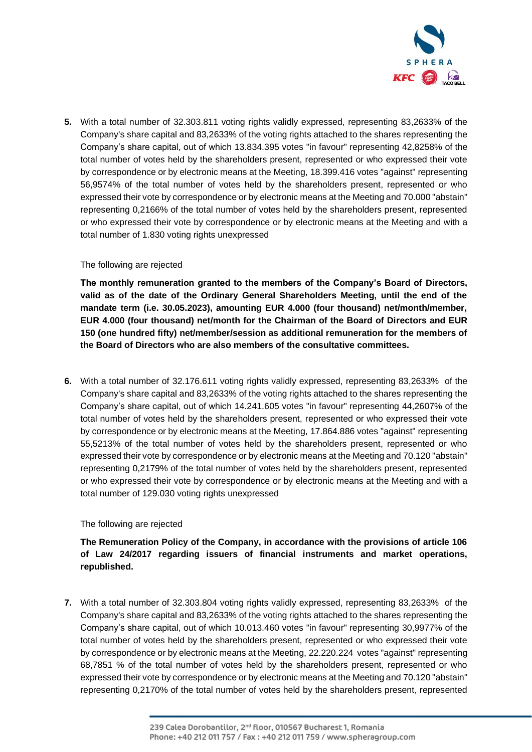

**5.** With a total number of 32.303.811 voting rights validly expressed, representing 83,2633% of the Company's share capital and 83,2633% of the voting rights attached to the shares representing the Company's share capital, out of which 13.834.395 votes "in favour" representing 42,8258% of the total number of votes held by the shareholders present, represented or who expressed their vote by correspondence or by electronic means at the Meeting, 18.399.416 votes "against" representing 56,9574% of the total number of votes held by the shareholders present, represented or who expressed their vote by correspondence or by electronic means at the Meeting and 70.000 "abstain" representing 0,2166% of the total number of votes held by the shareholders present, represented or who expressed their vote by correspondence or by electronic means at the Meeting and with a total number of 1.830 voting rights unexpressed

### The following are rejected

**The monthly remuneration granted to the members of the Company's Board of Directors, valid as of the date of the Ordinary General Shareholders Meeting, until the end of the mandate term (i.e. 30.05.2023), amounting EUR 4.000 (four thousand) net/month/member, EUR 4.000 (four thousand) net/month for the Chairman of the Board of Directors and EUR 150 (one hundred fifty) net/member/session as additional remuneration for the members of the Board of Directors who are also members of the consultative committees.**

**6.** With a total number of 32.176.611 voting rights validly expressed, representing 83,2633% of the Company's share capital and 83,2633% of the voting rights attached to the shares representing the Company's share capital, out of which 14.241.605 votes "in favour" representing 44,2607% of the total number of votes held by the shareholders present, represented or who expressed their vote by correspondence or by electronic means at the Meeting, 17.864.886 votes "against" representing 55,5213% of the total number of votes held by the shareholders present, represented or who expressed their vote by correspondence or by electronic means at the Meeting and 70.120 "abstain" representing 0,2179% of the total number of votes held by the shareholders present, represented or who expressed their vote by correspondence or by electronic means at the Meeting and with a total number of 129.030 voting rights unexpressed

# The following are rejected

**The Remuneration Policy of the Company, in accordance with the provisions of article 106 of Law 24/2017 regarding issuers of financial instruments and market operations, republished.**

**7.** With a total number of 32.303.804 voting rights validly expressed, representing 83,2633% of the Company's share capital and 83,2633% of the voting rights attached to the shares representing the Company's share capital, out of which 10.013.460 votes "in favour" representing 30,9977% of the total number of votes held by the shareholders present, represented or who expressed their vote by correspondence or by electronic means at the Meeting, 22.220.224 votes "against" representing 68,7851 % of the total number of votes held by the shareholders present, represented or who expressed their vote by correspondence or by electronic means at the Meeting and 70.120 "abstain" representing 0,2170% of the total number of votes held by the shareholders present, represented